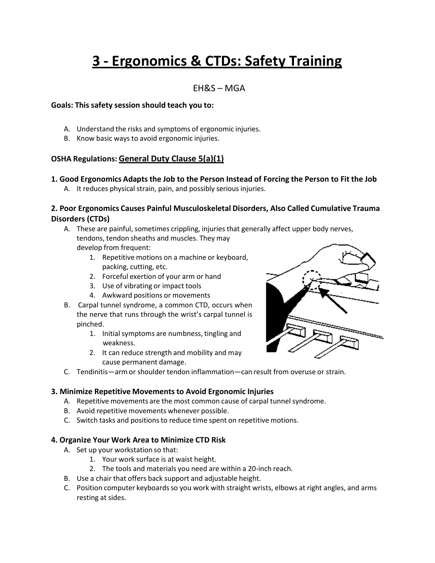# **3 - Ergonomics & CTDs: Safety Training**

## EH&S – MGA

#### **Goals: This safety session should teach you to:**

- A. Understand the risks and symptoms of ergonomic injuries.
- B. Know basic ways to avoid ergonomic injuries.

### **OSHA Regulations: General Duty Clause 5(a)(1)**

- **1. Good Ergonomics Adapts the Job to the Person Instead of Forcing the Person to Fit the Job**
	- A. It reduces physical strain, pain, and possibly serious injuries.

#### **2. Poor Ergonomics Causes Painful Musculoskeletal Disorders, Also Called Cumulative Trauma Disorders (CTDs)**

- A. These are painful, sometimes crippling, injuries that generally affect upper body nerves, tendons, tendon sheaths and muscles. They may develop from frequent:
	- 1. Repetitive motions on a machine or keyboard, packing, cutting, etc.
	- 2. Forceful exertion of your arm or hand
	- 3. Use of vibrating or impact tools
	- 4. Awkward positions or movements
- B. Carpal tunnel syndrome, a common CTD, occurs when the nerve that runs through the wrist's carpal tunnel is pinched.
	- 1. Initial symptoms are numbness, tingling and weakness.
	- 2. It can reduce strength and mobility and may cause permanent damage.
- C. Tendinitis—armor shoulder tendon inflammation—can result from overuse or strain.

#### **3. Minimize Repetitive Movements to Avoid Ergonomic Injuries**

- A. Repetitive movements are the most common cause of carpal tunnel syndrome.
- B. Avoid repetitive movements whenever possible.
- C. Switch tasks and positions to reduce time spent on repetitive motions.

#### **4. Organize Your Work Area to Minimize CTD Risk**

- A. Set up your workstation so that:
	- 1. Your work surface is at waist height.
	- 2. The tools and materials you need are within a 20-inch reach.
- B. Use a chair that offers back support and adjustable height.
- C. Position computer keyboards so you work with straight wrists, elbows at right angles, and arms resting at sides.